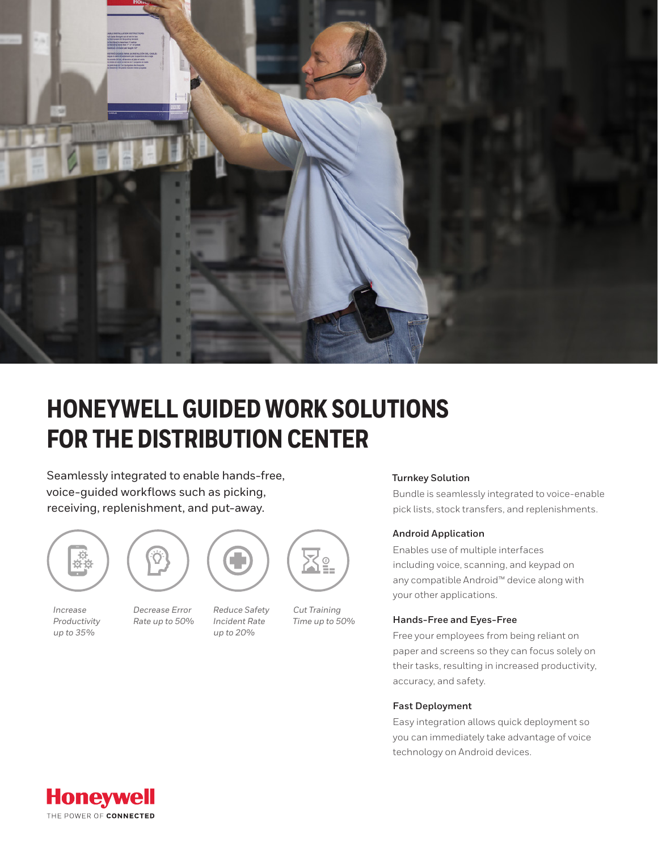

# **HONEYWELL GUIDED WORK SOLUTIONS FOR THE DISTRIBUTION CENTER**

Seamlessly integrated to enable hands-free, voice-guided workflows such as picking, receiving, replenishment, and put-away.







*Decrease Error Rate up to 50%*

*Reduce Safety Incident Rate* 

*up to 20%*



*Cut Training Time up to 50%*

## **Turnkey Solution**

Bundle is seamlessly integrated to voice-enable pick lists, stock transfers, and replenishments.

#### **Android Application**

Enables use of multiple interfaces including voice, scanning, and keypad on any compatible Android™ device along with your other applications.

#### **Hands-Free and Eyes-Free**

Free your employees from being reliant on paper and screens so they can focus solely on their tasks, resulting in increased productivity, accuracy, and safety.

#### **Fast Deployment**

Easy integration allows quick deployment so you can immediately take advantage of voice technology on Android devices.